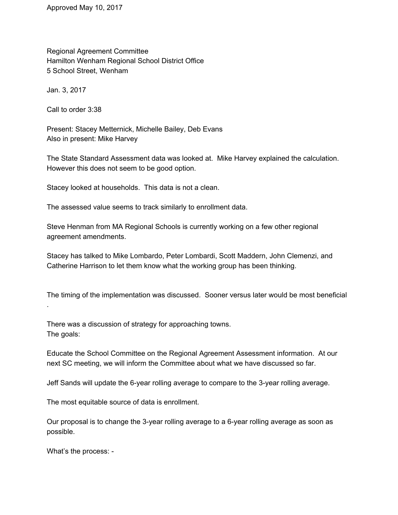Approved May 10, 2017

Regional Agreement Committee Hamilton Wenham Regional School District Office 5 School Street, Wenham

Jan. 3, 2017

Call to order 3:38

Present: Stacey Metternick, Michelle Bailey, Deb Evans Also in present: Mike Harvey

The State Standard Assessment data was looked at. Mike Harvey explained the calculation. However this does not seem to be good option.

Stacey looked at households. This data is not a clean.

The assessed value seems to track similarly to enrollment data.

Steve Henman from MA Regional Schools is currently working on a few other regional agreement amendments.

Stacey has talked to Mike Lombardo, Peter Lombardi, Scott Maddern, John Clemenzi, and Catherine Harrison to let them know what the working group has been thinking.

The timing of the implementation was discussed. Sooner versus later would be most beneficial .

There was a discussion of strategy for approaching towns. The goals:

Educate the School Committee on the Regional Agreement Assessment information. At our next SC meeting, we will inform the Committee about what we have discussed so far.

Jeff Sands will update the 6-year rolling average to compare to the 3-year rolling average.

The most equitable source of data is enrollment.

Our proposal is to change the 3-year rolling average to a 6-year rolling average as soon as possible.

What's the process: -